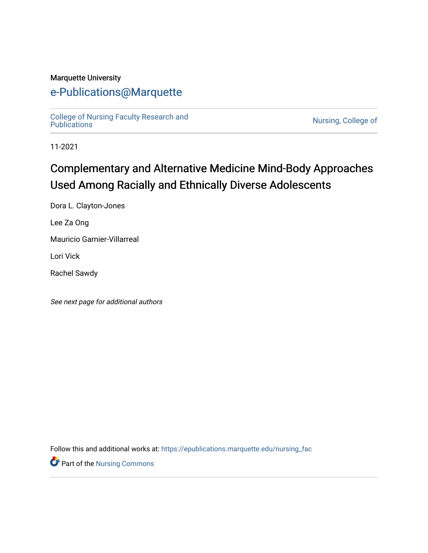#### Marquette University

# [e-Publications@Marquette](https://epublications.marquette.edu/)

[College of Nursing Faculty Research and](https://epublications.marquette.edu/nursing_fac)<br>Publications

Nursing, College of

11-2021

# Complementary and Alternative Medicine Mind-Body Approaches Used Among Racially and Ethnically Diverse Adolescents

Dora L. Clayton-Jones

Lee Za Ong

Mauricio Garnier-Villarreal

Lori Vick

Rachel Sawdy

See next page for additional authors

Follow this and additional works at: [https://epublications.marquette.edu/nursing\\_fac](https://epublications.marquette.edu/nursing_fac?utm_source=epublications.marquette.edu%2Fnursing_fac%2F899&utm_medium=PDF&utm_campaign=PDFCoverPages)

**Part of the Nursing Commons**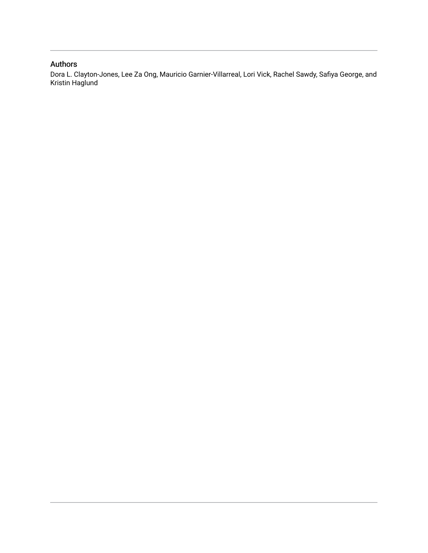#### Authors

Dora L. Clayton-Jones, Lee Za Ong, Mauricio Garnier-Villarreal, Lori Vick, Rachel Sawdy, Safiya George, and Kristin Haglund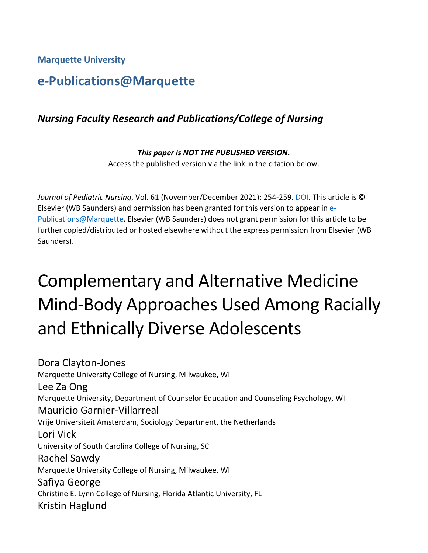**Marquette University**

# **e-Publications@Marquette**

### *Nursing Faculty Research and Publications/College of Nursing*

#### *This paper is NOT THE PUBLISHED VERSION***.**  Access the published version via the link in the citation below.

*Journal of Pediatric Nursing*, Vol. 61 (November/December 2021): 254-259. [DOI.](https://doi.org/10.1016/j.pedn.2021.07.009) This article is © Elsevier (WB Saunders) and permission has been granted for this version to appear in [e-](http://epublications.marquette.edu/)[Publications@Marquette.](http://epublications.marquette.edu/) Elsevier (WB Saunders) does not grant permission for this article to be further copied/distributed or hosted elsewhere without the express permission from Elsevier (WB Saunders).

# Complementary and Alternative Medicine Mind-Body Approaches Used Among Racially and Ethnically Diverse Adolescents

Dora Clayton-Jones Marquette University College of Nursing, Milwaukee, WI Lee Za Ong Marquette University, Department of Counselor Education and Counseling Psychology, WI Mauricio Garnier-Villarreal Vrije Universiteit Amsterdam, Sociology Department, the Netherlands Lori Vick University of South Carolina College of Nursing, SC Rachel Sawdy Marquette University College of Nursing, Milwaukee, WI Safiya George Christine E. Lynn College of Nursing, Florida Atlantic University, FL Kristin Haglund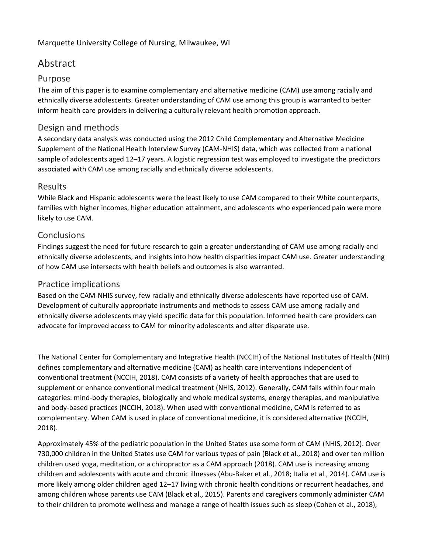#### Marquette University College of Nursing, Milwaukee, WI

### Abstract

#### Purpose

The aim of this paper is to examine complementary and alternative medicine (CAM) use among racially and ethnically diverse adolescents. Greater understanding of CAM use among this group is warranted to better inform health care providers in delivering a culturally relevant health promotion approach.

#### Design and methods

A secondary data analysis was conducted using the 2012 Child Complementary and Alternative Medicine Supplement of the National Health Interview Survey (CAM-NHIS) data, which was collected from a national sample of adolescents aged 12–17 years. A logistic regression test was employed to investigate the predictors associated with CAM use among racially and ethnically diverse adolescents.

#### Results

While Black and Hispanic adolescents were the least likely to use CAM compared to their White counterparts, families with higher incomes, higher education attainment, and adolescents who experienced pain were more likely to use CAM.

#### **Conclusions**

Findings suggest the need for future research to gain a greater understanding of CAM use among racially and ethnically diverse adolescents, and insights into how health disparities impact CAM use. Greater understanding of how CAM use intersects with health beliefs and outcomes is also warranted.

#### Practice implications

Based on the CAM-NHIS survey, few racially and ethnically diverse adolescents have reported use of CAM. Development of culturally appropriate instruments and methods to assess CAM use among racially and ethnically diverse adolescents may yield specific data for this population. Informed health care providers can advocate for improved access to CAM for minority adolescents and alter disparate use.

The National Center for Complementary and Integrative Health (NCCIH) of the National Institutes of Health (NIH) defines complementary and alternative medicine (CAM) as health care interventions independent of conventional treatment (NCCIH, 2018). CAM consists of a variety of health approaches that are used to supplement or enhance conventional medical treatment (NHIS, 2012). Generally, CAM falls within four main categories: mind-body therapies, biologically and whole medical systems, energy therapies, and manipulative and body-based practices (NCCIH, 2018). When used with conventional medicine, CAM is referred to as complementary. When CAM is used in place of conventional medicine, it is considered alternative (NCCIH, 2018).

Approximately 45% of the pediatric population in the United States use some form of CAM (NHIS, 2012). Over 730,000 children in the United States use CAM for various types of pain (Black et al., 2018) and over ten million children used yoga, meditation, or a chiropractor as a CAM approach (2018). CAM use is increasing among children and adolescents with acute and chronic illnesses (Abu-Baker et al., 2018; Italia et al., 2014). CAM use is more likely among older children aged 12–17 living with chronic health conditions or recurrent headaches, and among children whose parents use CAM (Black et al., 2015). Parents and caregivers commonly administer CAM to their children to promote wellness and manage a range of health issues such as sleep (Cohen et al., 2018),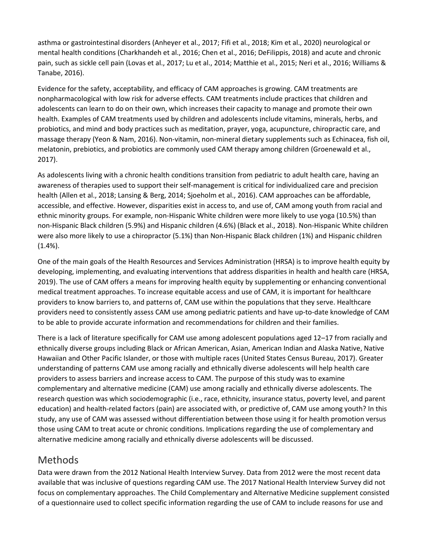asthma or gastrointestinal disorders (Anheyer et al., 2017; Fifi et al., 2018; Kim et al., 2020) neurological or mental health conditions (Charkhandeh et al., 2016; Chen et al., 2016; DeFilippis, 2018) and acute and chronic pain, such as sickle cell pain (Lovas et al., 2017; Lu et al., 2014; Matthie et al., 2015; Neri et al., 2016; Williams & Tanabe, 2016).

Evidence for the safety, acceptability, and efficacy of CAM approaches is growing. CAM treatments are nonpharmacological with low risk for adverse effects. CAM treatments include practices that children and adolescents can learn to do on their own, which increases their capacity to manage and promote their own health. Examples of CAM treatments used by children and adolescents include vitamins, minerals, herbs, and probiotics, and mind and body practices such as meditation, prayer, yoga, acupuncture, chiropractic care, and massage therapy (Yeon & Nam, 2016). Non-vitamin, non-mineral dietary supplements such as Echinacea, fish oil, melatonin, prebiotics, and probiotics are commonly used CAM therapy among children (Groenewald et al., 2017).

As adolescents living with a chronic health conditions transition from pediatric to adult health care, having an awareness of therapies used to support their self-management is critical for individualized care and precision health (Allen et al., 2018; Lansing & Berg, 2014; Sjoeholm et al., 2016). CAM approaches can be affordable, accessible, and effective. However, disparities exist in access to, and use of, CAM among youth from racial and ethnic minority groups. For example, non-Hispanic White children were more likely to use yoga (10.5%) than non-Hispanic Black children (5.9%) and Hispanic children (4.6%) (Black et al., 2018). Non-Hispanic White children were also more likely to use a chiropractor (5.1%) than Non-Hispanic Black children (1%) and Hispanic children (1.4%).

One of the main goals of the Health Resources and Services Administration (HRSA) is to improve health equity by developing, implementing, and evaluating interventions that address disparities in health and health care (HRSA, 2019). The use of CAM offers a means for improving health equity by supplementing or enhancing conventional medical treatment approaches. To increase equitable access and use of CAM, it is important for healthcare providers to know barriers to, and patterns of, CAM use within the populations that they serve. Healthcare providers need to consistently assess CAM use among pediatric patients and have up-to-date knowledge of CAM to be able to provide accurate information and recommendations for children and their families.

There is a lack of literature specifically for CAM use among adolescent populations aged 12–17 from racially and ethnically diverse groups including Black or African American, Asian, American Indian and Alaska Native, Native Hawaiian and Other Pacific Islander, or those with multiple races (United States Census Bureau, 2017). Greater understanding of patterns CAM use among racially and ethnically diverse adolescents will help health care providers to assess barriers and increase access to CAM. The purpose of this study was to examine complementary and alternative medicine (CAM) use among racially and ethnically diverse adolescents. The research question was which sociodemographic (i.e., race, ethnicity, insurance status, poverty level, and parent education) and health-related factors (pain) are associated with, or predictive of, CAM use among youth? In this study, any use of CAM was assessed without differentiation between those using it for health promotion versus those using CAM to treat acute or chronic conditions. Implications regarding the use of complementary and alternative medicine among racially and ethnically diverse adolescents will be discussed.

### Methods

Data were drawn from the 2012 National Health Interview Survey. Data from 2012 were the most recent data available that was inclusive of questions regarding CAM use. The 2017 National Health Interview Survey did not focus on complementary approaches. The Child Complementary and Alternative Medicine supplement consisted of a questionnaire used to collect specific information regarding the use of CAM to include reasons for use and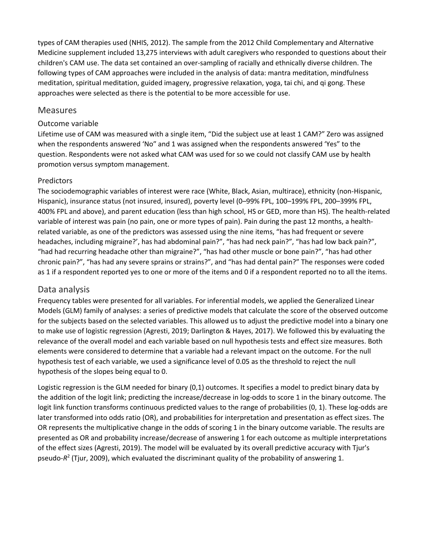types of CAM therapies used (NHIS, 2012). The sample from the 2012 Child Complementary and Alternative Medicine supplement included 13,275 interviews with adult caregivers who responded to questions about their children's CAM use. The data set contained an over-sampling of racially and ethnically diverse children. The following types of CAM approaches were included in the analysis of data: mantra meditation, mindfulness meditation, spiritual meditation, guided imagery, progressive relaxation, yoga, tai chi, and qi gong. These approaches were selected as there is the potential to be more accessible for use.

#### Measures

#### Outcome variable

Lifetime use of CAM was measured with a single item, "Did the subject use at least 1 CAM?" Zero was assigned when the respondents answered 'No″ and 1 was assigned when the respondents answered 'Yes" to the question. Respondents were not asked what CAM was used for so we could not classify CAM use by health promotion versus symptom management.

#### Predictors

The sociodemographic variables of interest were race (White, Black, Asian, multirace), ethnicity (non-Hispanic, Hispanic), insurance status (not insured, insured), poverty level (0–99% FPL, 100–199% FPL, 200–399% FPL, 400% FPL and above), and parent education (less than high school, HS or GED, more than HS). The health-related variable of interest was pain (no pain, one or more types of pain). Pain during the past 12 months, a healthrelated variable, as one of the predictors was assessed using the nine items, "has had frequent or severe headaches, including migraine?', has had abdominal pain?", "has had neck pain?", "has had low back pain?", "had had recurring headache other than migraine?", "has had other muscle or bone pain?", "has had other chronic pain?", "has had any severe sprains or strains?", and "has had dental pain?" The responses were coded as 1 if a respondent reported yes to one or more of the items and 0 if a respondent reported no to all the items.

#### Data analysis

Frequency tables were presented for all variables. For inferential models, we applied the Generalized Linear Models (GLM) family of analyses: a series of predictive models that calculate the score of the observed outcome for the subjects based on the selected variables. This allowed us to adjust the predictive model into a binary one to make use of logistic regression (Agresti, 2019; Darlington & Hayes, 2017). We followed this by evaluating the relevance of the overall model and each variable based on null hypothesis tests and effect size measures. Both elements were considered to determine that a variable had a relevant impact on the outcome. For the null hypothesis test of each variable, we used a significance level of 0.05 as the threshold to reject the null hypothesis of the slopes being equal to 0.

Logistic regression is the GLM needed for binary (0,1) outcomes. It specifies a model to predict binary data by the addition of the logit link; predicting the increase/decrease in log-odds to score 1 in the binary outcome. The logit link function transforms continuous predicted values to the range of probabilities (0, 1). These log-odds are later transformed into odds ratio (OR), and probabilities for interpretation and presentation as effect sizes. The OR represents the multiplicative change in the odds of scoring 1 in the binary outcome variable. The results are presented as OR and probability increase/decrease of answering 1 for each outcome as multiple interpretations of the effect sizes (Agresti, 2019). The model will be evaluated by its overall predictive accuracy with Tjur's pseudo-*R*<sup>2</sup> (Tjur, 2009), which evaluated the discriminant quality of the probability of answering 1.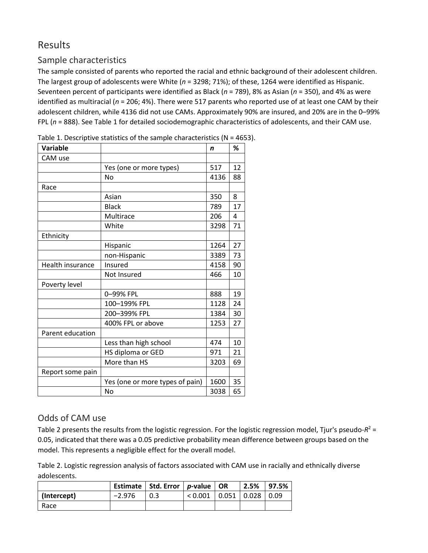### Results

### Sample characteristics

The sample consisted of parents who reported the racial and ethnic background of their adolescent children. The largest group of adolescents were White (*n* = 3298; 71%); of these, 1264 were identified as Hispanic. Seventeen percent of participants were identified as Black (*n* = 789), 8% as Asian (*n* = 350), and 4% as were identified as multiracial (*n* = 206; 4%). There were 517 parents who reported use of at least one CAM by their adolescent children, while 4136 did not use CAMs. Approximately 90% are insured, and 20% are in the 0–99% FPL (*n* = 888). See Table 1 for detailed sociodemographic characteristics of adolescents, and their CAM use.

| Variable         |                                 | n    | %  |
|------------------|---------------------------------|------|----|
| CAM use          |                                 |      |    |
|                  | Yes (one or more types)         | 517  | 12 |
|                  | <b>No</b>                       | 4136 | 88 |
| Race             |                                 |      |    |
|                  | Asian                           | 350  | 8  |
|                  | <b>Black</b>                    | 789  | 17 |
|                  | Multirace                       | 206  | 4  |
|                  | White                           | 3298 | 71 |
| Ethnicity        |                                 |      |    |
|                  | Hispanic                        | 1264 | 27 |
|                  | non-Hispanic                    | 3389 | 73 |
| Health insurance | Insured                         | 4158 | 90 |
|                  | Not Insured                     | 466  | 10 |
| Poverty level    |                                 |      |    |
|                  | 0-99% FPL                       | 888  | 19 |
|                  | 100-199% FPL                    | 1128 | 24 |
|                  | 200-399% FPL                    | 1384 | 30 |
|                  | 400% FPL or above               | 1253 | 27 |
| Parent education |                                 |      |    |
|                  | Less than high school           | 474  | 10 |
|                  | HS diploma or GED               | 971  | 21 |
|                  | More than HS                    | 3203 | 69 |
| Report some pain |                                 |      |    |
|                  | Yes (one or more types of pain) | 1600 | 35 |
|                  | No                              | 3038 | 65 |

Table 1. Descriptive statistics of the sample characteristics ( $N = 4653$ ).

### Odds of CAM use

Table 2 presents the results from the logistic regression. For the logistic regression model, Tjur's pseudo-*R<sup>2</sup>* = 0.05, indicated that there was a 0.05 predictive probability mean difference between groups based on the model. This represents a negligible effect for the overall model.

Table 2. Logistic regression analysis of factors associated with CAM use in racially and ethnically diverse adolescents.

|             |          | Estimate   Std. Error $ p$ -value   OR |                                  | 2.5% | 97.5% |
|-------------|----------|----------------------------------------|----------------------------------|------|-------|
| (Intercept) | $-2.976$ | 0.3                                    | $< 0.001$   0.051   0.028   0.09 |      |       |
| Race        |          |                                        |                                  |      |       |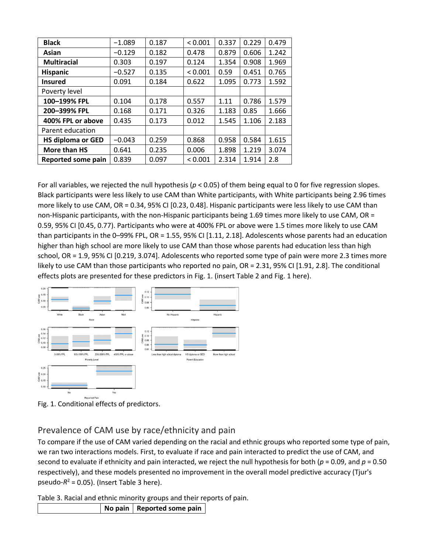| <b>Black</b>             | $-1.089$ | 0.187 | < 0.001 | 0.337 | 0.229 | 0.479 |
|--------------------------|----------|-------|---------|-------|-------|-------|
| Asian                    | $-0.129$ | 0.182 | 0.478   | 0.879 | 0.606 | 1.242 |
| <b>Multiracial</b>       | 0.303    | 0.197 | 0.124   | 1.354 | 0.908 | 1.969 |
| <b>Hispanic</b>          | $-0.527$ | 0.135 | < 0.001 | 0.59  | 0.451 | 0.765 |
| <b>Insured</b>           | 0.091    | 0.184 | 0.622   | 1.095 | 0.773 | 1.592 |
| Poverty level            |          |       |         |       |       |       |
| 100-199% FPL             | 0.104    | 0.178 | 0.557   | 1.11  | 0.786 | 1.579 |
| 200-399% FPL             | 0.168    | 0.171 | 0.326   | 1.183 | 0.85  | 1.666 |
| 400% FPL or above        | 0.435    | 0.173 | 0.012   | 1.545 | 1.106 | 2.183 |
| Parent education         |          |       |         |       |       |       |
| <b>HS diploma or GED</b> | $-0.043$ | 0.259 | 0.868   | 0.958 | 0.584 | 1.615 |
| More than HS             | 0.641    | 0.235 | 0.006   | 1.898 | 1.219 | 3.074 |
| Reported some pain       | 0.839    | 0.097 | < 0.001 | 2.314 | 1.914 | 2.8   |

For all variables, we rejected the null hypothesis (*p* < 0.05) of them being equal to 0 for five regression slopes. Black participants were less likely to use CAM than White participants, with White participants being 2.96 times more likely to use CAM, OR = 0.34, 95% CI [0.23, 0.48]. Hispanic participants were less likely to use CAM than non-Hispanic participants, with the non-Hispanic participants being 1.69 times more likely to use CAM, OR = 0.59, 95% CI [0.45, 0.77). Participants who were at 400% FPL or above were 1.5 times more likely to use CAM than participants in the 0–99% FPL, OR = 1.55, 95% CI [1.11, 2.18]. Adolescents whose parents had an education higher than high school are more likely to use CAM than those whose parents had education less than high school, OR = 1.9, 95% CI [0.219, 3.074]. Adolescents who reported some type of pain were more 2.3 times more likely to use CAM than those participants who reported no pain, OR = 2.31, 95% CI [1.91, 2.8]. The conditional effects plots are presented for these predictors in Fig. 1. (insert Table 2 and Fig. 1 here).



Fig. 1. Conditional effects of predictors.

#### Prevalence of CAM use by race/ethnicity and pain

To compare if the use of CAM varied depending on the racial and ethnic groups who reported some type of pain, we ran two interactions models. First, to evaluate if race and pain interacted to predict the use of CAM, and second to evaluate if ethnicity and pain interacted, we reject the null hypothesis for both (*p* = 0.09, and *p* = 0.50 respectively), and these models presented no improvement in the overall model predictive accuracy (Tjur's pseudo- $R^2$  = 0.05). (Insert Table 3 here).

Table 3. Racial and ethnic minority groups and their reports of pain.

|  |  | No pain   Reported some pain |
|--|--|------------------------------|
|--|--|------------------------------|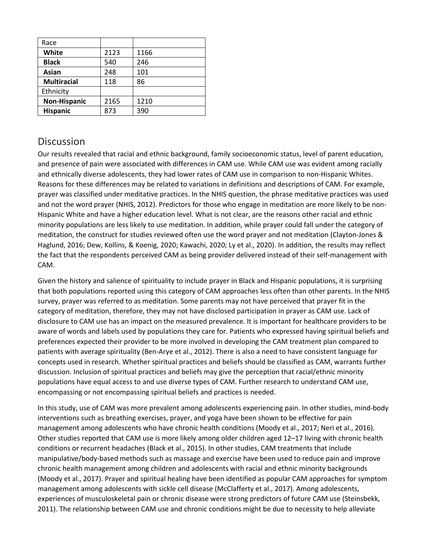| 2123 | 1166 |
|------|------|
| 540  | 246  |
| 248  | 101  |
| 118  | 86   |
|      |      |
| 2165 | 1210 |
| 873  | 390  |
|      |      |

### **Discussion**

Our results revealed that racial and ethnic background, family socioeconomic status, level of parent education, and presence of pain were associated with differences in CAM use. While CAM use was evident among racially and ethnically diverse adolescents, they had lower rates of CAM use in comparison to non-Hispanic Whites. Reasons for these differences may be related to variations in definitions and descriptions of CAM. For example, prayer was classified under meditative practices. In the NHIS question, the phrase meditative practices was used and not the word prayer (NHIS, 2012). Predictors for those who engage in meditation are more likely to be non-Hispanic White and have a higher education level. What is not clear, are the reasons other racial and ethnic minority populations are less likely to use meditation. In addition, while prayer could fall under the category of meditation, the construct for studies reviewed often use the word prayer and not meditation (Clayton-Jones & Haglund, 2016; Dew, Kollins, & Koenig, 2020; Kawachi, 2020; Ly et al., 2020). In addition, the results may reflect the fact that the respondents perceived CAM as being provider delivered instead of their self-management with CAM.

Given the history and salience of spirituality to include prayer in Black and Hispanic populations, it is surprising that both populations reported using this category of CAM approaches less often than other parents. In the NHIS survey, prayer was referred to as meditation. Some parents may not have perceived that prayer fit in the category of meditation, therefore, they may not have disclosed participation in prayer as CAM use. Lack of disclosure to CAM use has an impact on the measured prevalence. It is important for healthcare providers to be aware of words and labels used by populations they care for. Patients who expressed having spiritual beliefs and preferences expected their provider to be more involved in developing the CAM treatment plan compared to patients with average spirituality (Ben-Arye et al., 2012). There is also a need to have consistent language for concepts used in research. Whether spiritual practices and beliefs should be classified as CAM, warrants further discussion. Inclusion of spiritual practices and beliefs may give the perception that racial/ethnic minority populations have equal access to and use diverse types of CAM. Further research to understand CAM use, encompassing or not encompassing spiritual beliefs and practices is needed.

In this study, use of CAM was more prevalent among adolescents experiencing pain. In other studies, mind-body interventions such as breathing exercises, prayer, and yoga have been shown to be effective for pain management among adolescents who have chronic health conditions (Moody et al., 2017; Neri et al., 2016). Other studies reported that CAM use is more likely among older children aged 12–17 living with chronic health conditions or recurrent headaches (Black et al., 2015). In other studies, CAM treatments that include manipulative/body-based methods such as massage and exercise have been used to reduce pain and improve chronic health management among children and adolescents with racial and ethnic minority backgrounds (Moody et al., 2017). Prayer and spiritual healing have been identified as popular CAM approaches for symptom management among adolescents with sickle cell disease (McClafferty et al., 2017). Among adolescents, experiences of musculoskeletal pain or chronic disease were strong predictors of future CAM use (Steinsbekk, 2011). The relationship between CAM use and chronic conditions might be due to necessity to help alleviate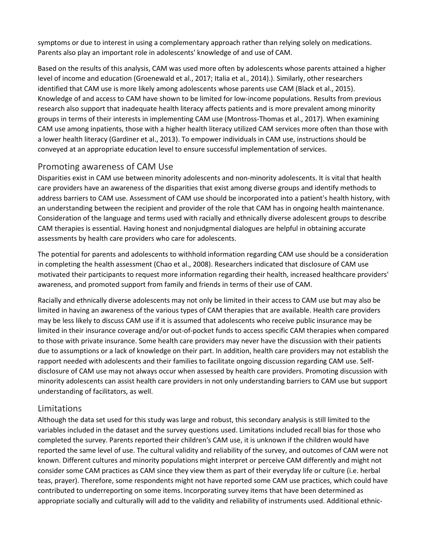symptoms or due to interest in using a complementary approach rather than relying solely on medications. Parents also play an important role in adolescents' knowledge of and use of CAM.

Based on the results of this analysis, CAM was used more often by adolescents whose parents attained a higher level of income and education (Groenewald et al., 2017; Italia et al., 2014).). Similarly, other researchers identified that CAM use is more likely among adolescents whose parents use CAM (Black et al., 2015). Knowledge of and access to CAM have shown to be limited for low-income populations. Results from previous research also support that inadequate health literacy affects patients and is more prevalent among minority groups in terms of their interests in implementing CAM use (Montross-Thomas et al., 2017). When examining CAM use among inpatients, those with a higher health literacy utilized CAM services more often than those with a lower health literacy (Gardiner et al., 2013). To empower individuals in CAM use, instructions should be conveyed at an appropriate education level to ensure successful implementation of services.

#### Promoting awareness of CAM Use

Disparities exist in CAM use between minority adolescents and non-minority adolescents. It is vital that health care providers have an awareness of the disparities that exist among diverse groups and identify methods to address barriers to CAM use. Assessment of CAM use should be incorporated into a patient's health history, with an understanding between the recipient and provider of the role that CAM has in ongoing health maintenance. Consideration of the language and terms used with racially and ethnically diverse adolescent groups to describe CAM therapies is essential. Having honest and nonjudgmental dialogues are helpful in obtaining accurate assessments by health care providers who care for adolescents.

The potential for parents and adolescents to withhold information regarding CAM use should be a consideration in completing the health assessment (Chao et al., 2008). Researchers indicated that disclosure of CAM use motivated their participants to request more information regarding their health, increased healthcare providers' awareness, and promoted support from family and friends in terms of their use of CAM.

Racially and ethnically diverse adolescents may not only be limited in their access to CAM use but may also be limited in having an awareness of the various types of CAM therapies that are available. Health care providers may be less likely to discuss CAM use if it is assumed that adolescents who receive public insurance may be limited in their insurance coverage and/or out-of-pocket funds to access specific CAM therapies when compared to those with private insurance. Some health care providers may never have the discussion with their patients due to assumptions or a lack of knowledge on their part. In addition, health care providers may not establish the rapport needed with adolescents and their families to facilitate ongoing discussion regarding CAM use. Selfdisclosure of CAM use may not always occur when assessed by health care providers. Promoting discussion with minority adolescents can assist health care providers in not only understanding barriers to CAM use but support understanding of facilitators, as well.

#### Limitations

Although the data set used for this study was large and robust, this secondary analysis is still limited to the variables included in the dataset and the survey questions used. Limitations included recall bias for those who completed the survey. Parents reported their children's CAM use, it is unknown if the children would have reported the same level of use. The cultural validity and reliability of the survey, and outcomes of CAM were not known. Different cultures and minority populations might interpret or perceive CAM differently and might not consider some CAM practices as CAM since they view them as part of their everyday life or culture (i.e. herbal teas, prayer). Therefore, some respondents might not have reported some CAM use practices, which could have contributed to underreporting on some items. Incorporating survey items that have been determined as appropriate socially and culturally will add to the validity and reliability of instruments used. Additional ethnic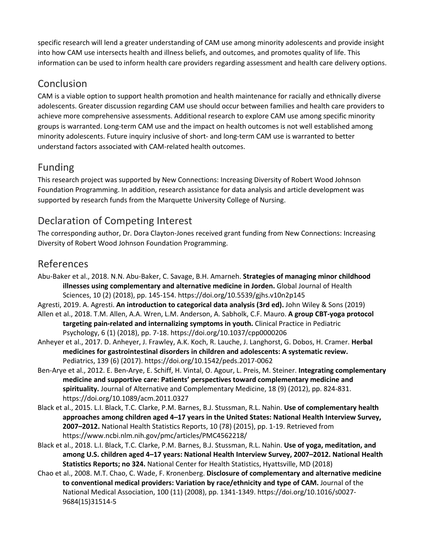specific research will lend a greater understanding of CAM use among minority adolescents and provide insight into how CAM use intersects health and illness beliefs, and outcomes, and promotes quality of life. This information can be used to inform health care providers regarding assessment and health care delivery options.

# Conclusion

CAM is a viable option to support health promotion and health maintenance for racially and ethnically diverse adolescents. Greater discussion regarding CAM use should occur between families and health care providers to achieve more comprehensive assessments. Additional research to explore CAM use among specific minority groups is warranted. Long-term CAM use and the impact on health outcomes is not well established among minority adolescents. Future inquiry inclusive of short- and long-term CAM use is warranted to better understand factors associated with CAM-related health outcomes.

# Funding

This research project was supported by New Connections: Increasing Diversity of Robert Wood Johnson Foundation Programming. In addition, research assistance for data analysis and article development was supported by research funds from the Marquette University College of Nursing.

## Declaration of Competing Interest

The corresponding author, Dr. Dora Clayton-Jones received grant funding from New Connections: Increasing Diversity of Robert Wood Johnson Foundation Programming.

### References

Abu-Baker et al., 2018. N.N. Abu-Baker, C. Savage, B.H. Amarneh. **Strategies of managing minor childhood illnesses using complementary and alternative medicine in Jorden.** Global Journal of Health Sciences, 10 (2) (2018), pp. 145-154. https://doi.org/10.5539/gjhs.v10n2p145

Agresti, 2019. A. Agresti. **An introduction to categorical data analysis (3rd ed).** John Wiley & Sons (2019) Allen et al., 2018. T.M. Allen, A.A. Wren, L.M. Anderson, A. Sabholk, C.F. Mauro. **A group CBT-yoga protocol** 

**targeting pain-related and internalizing symptoms in youth.** Clinical Practice in Pediatric Psychology, 6 (1) (2018), pp. 7-18. https://doi.org/10.1037/cpp0000206

- Anheyer et al., 2017. D. Anheyer, J. Frawley, A.K. Koch, R. Lauche, J. Langhorst, G. Dobos, H. Cramer. **Herbal medicines for gastrointestinal disorders in children and adolescents: A systematic review.**  Pediatrics, 139 (6) (2017). https://doi.org/10.1542/peds.2017-0062
- Ben-Arye et al., 2012. E. Ben-Arye, E. Schiff, H. Vintal, O. Agour, L. Preis, M. Steiner. **Integrating complementary medicine and supportive care: Patients' perspectives toward complementary medicine and spirituality.** Journal of Alternative and Complementary Medicine, 18 (9) (2012), pp. 824-831. https://doi.org/10.1089/acm.2011.0327
- Black et al., 2015. L.I. Black, T.C. Clarke, P.M. Barnes, B.J. Stussman, R.L. Nahin. **Use of complementary health approaches among children aged 4–17 years in the United States: National Health Interview Survey, 2007–2012.** National Health Statistics Reports, 10 (78) (2015), pp. 1-19. Retrieved from https://www.ncbi.nlm.nih.gov/pmc/articles/PMC4562218/
- Black et al., 2018. L.I. Black, T.C. Clarke, P.M. Barnes, B.J. Stussman, R.L. Nahin. **Use of yoga, meditation, and among U.S. children aged 4–17 years: National Health Interview Survey, 2007–2012. National Health Statistics Reports; no 324.** National Center for Health Statistics, Hyattsville, MD (2018)
- Chao et al., 2008. M.T. Chao, C. Wade, F. Kronenberg. **Disclosure of complementary and alternative medicine to conventional medical providers: Variation by race/ethnicity and type of CAM.** Journal of the National Medical Association, 100 (11) (2008), pp. 1341-1349. https://doi.org/10.1016/s0027- 9684(15)31514-5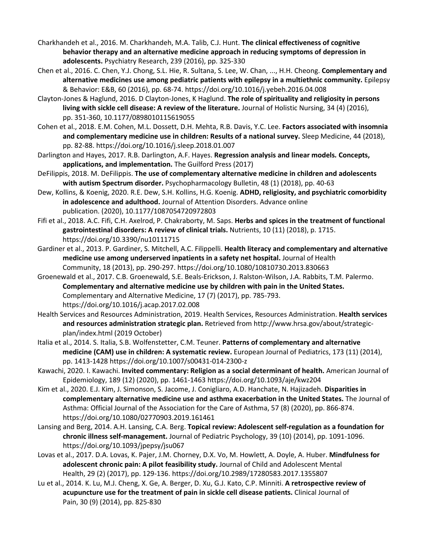- Charkhandeh et al., 2016. M. Charkhandeh, M.A. Talib, C.J. Hunt. **The clinical effectiveness of cognitive behavior therapy and an alternative medicine approach in reducing symptoms of depression in adolescents.** Psychiatry Research, 239 (2016), pp. 325-330
- Chen et al., 2016. C. Chen, Y.J. Chong, S.L. Hie, R. Sultana, S. Lee, W. Chan, ..., H.H. Cheong. **Complementary and alternative medicines use among pediatric patients with epilepsy in a multiethnic community.** Epilepsy & Behavior: E&B, 60 (2016), pp. 68-74. https://doi.org/10.1016/j.yebeh.2016.04.008
- Clayton-Jones & Haglund, 2016. D Clayton-Jones, K Haglund. **The role of spirituality and religiosity in persons living with sickle cell disease: A review of the literature.** Journal of Holistic Nursing, 34 (4) (2016), pp. 351-360, 10.1177/0898010115619055
- Cohen et al., 2018. E.M. Cohen, M.L. Dossett, D.H. Mehta, R.B. Davis, Y.C. Lee. **Factors associated with insomnia and complementary medicine use in children: Results of a national survey.** Sleep Medicine, 44 (2018), pp. 82-88. https://doi.org/10.1016/j.sleep.2018.01.007
- Darlington and Hayes, 2017. R.B. Darlington, A.F. Hayes. **Regression analysis and linear models***.* **Concepts, applications, and implementation.** The Guilford Press (2017)
- DeFilippis, 2018. M. DeFilippis. **The use of complementary alternative medicine in children and adolescents with autism Spectrum disorder.** Psychopharmacology Bulletin, 48 (1) (2018), pp. 40-63
- Dew, Kollins, & Koenig, 2020. R.E. Dew, S.H. Kollins, H.G. Koenig. **ADHD, religiosity, and psychiatric comorbidity in adolescence and adulthood.** Journal of Attention Disorders. Advance online publication. (2020), 10.1177/1087054720972803
- Fifi et al., 2018. A.C. Fifi, C.H. Axelrod, P. Chakraborty, M. Saps. **Herbs and spices in the treatment of functional gastrointestinal disorders: A review of clinical trials.** Nutrients, 10 (11) (2018), p. 1715. https://doi.org/10.3390/nu10111715
- Gardiner et al., 2013. P. Gardiner, S. Mitchell, A.C. Filippelli. **Health literacy and complementary and alternative medicine use among underserved inpatients in a safety net hospital.** Journal of Health Community, 18 (2013), pp. 290-297. https://doi.org/10.1080/10810730.2013.830663
- Groenewald et al., 2017. C.B. Groenewald, S.E. Beals-Erickson, J. Ralston-Wilson, J.A. Rabbits, T.M. Palermo. **Complementary and alternative medicine use by children with pain in the United States.**  Complementary and Alternative Medicine, 17 (7) (2017), pp. 785-793. https://doi.org/10.1016/j.acap.2017.02.008
- Health Services and Resources Administration, 2019. Health Services, Resources Administration. **Health services and resources administration strategic plan.** Retrieved from http://www.hrsa.gov/about/strategicplan/index.html (2019 October)
- Italia et al., 2014. S. Italia, S.B. Wolfenstetter, C.M. Teuner. **Patterns of complementary and alternative medicine (CAM) use in children: A systematic review.** European Journal of Pediatrics, 173 (11) (2014), pp. 1413-1428 https://doi.org/10.1007/s00431-014-2300-z
- Kawachi, 2020. I. Kawachi. **Invited commentary: Religion as a social determinant of health.** American Journal of Epidemiology, 189 (12) (2020), pp. 1461-1463 https://doi.org/10.1093/aje/kwz204
- Kim et al., 2020. E.J. Kim, J. Simonson, S. Jacome, J. Conigliaro, A.D. Hanchate, N. Hajizadeh. **Disparities in complementary alternative medicine use and asthma exacerbation in the United States.** The Journal of Asthma: Official Journal of the Association for the Care of Asthma, 57 (8) (2020), pp. 866-874. https://doi.org/10.1080/02770903.2019.161461
- Lansing and Berg, 2014. A.H. Lansing, C.A. Berg. **Topical review: Adolescent self-regulation as a foundation for chronic illness self-management.** Journal of Pediatric Psychology, 39 (10) (2014), pp. 1091-1096. https://doi.org/10.1093/jpepsy/jsu067
- Lovas et al., 2017. D.A. Lovas, K. Pajer, J.M. Chorney, D.X. Vo, M. Howlett, A. Doyle, A. Huber. **Mindfulness for adolescent chronic pain: A pilot feasibility study.** Journal of Child and Adolescent Mental Health, 29 (2) (2017), pp. 129-136. https://doi.org/10.2989/17280583.2017.1355807
- Lu et al., 2014. K. Lu, M.J. Cheng, X. Ge, A. Berger, D. Xu, G.J. Kato, C.P. Minniti. **A retrospective review of acupuncture use for the treatment of pain in sickle cell disease patients.** Clinical Journal of Pain, 30 (9) (2014), pp. 825-830